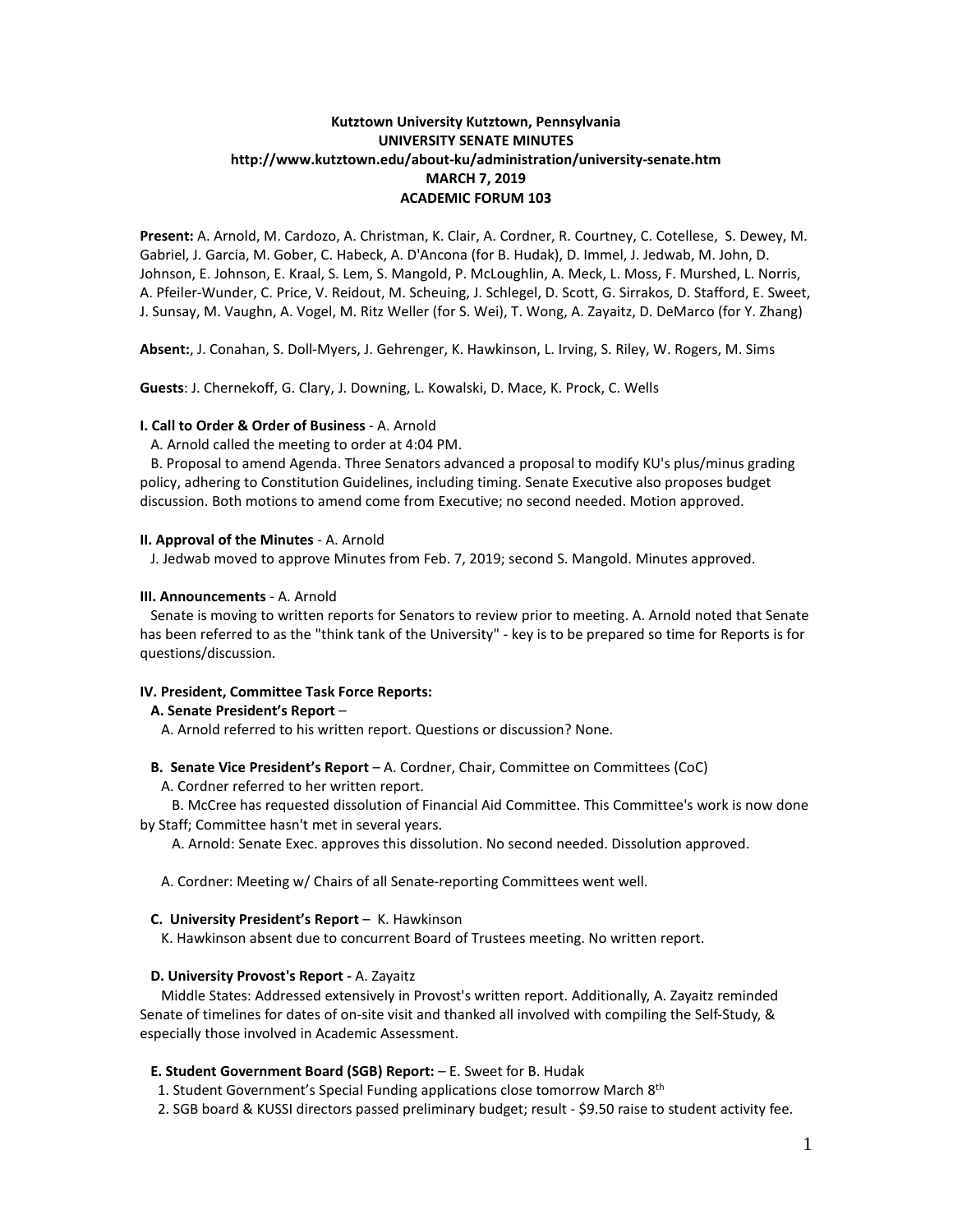# **Kutztown University Kutztown, Pennsylvania UNIVERSITY SENATE MINUTES http://www.kutztown.edu/about-ku/administration/university-senate.htm MARCH 7, 2019 ACADEMIC FORUM 103**

**Present:** A. Arnold, M. Cardozo, A. Christman, K. Clair, A. Cordner, R. Courtney, C. Cotellese, S. Dewey, M. Gabriel, J. Garcia, M. Gober, C. Habeck, A. D'Ancona (for B. Hudak), D. Immel, J. Jedwab, M. John, D. Johnson, E. Johnson, E. Kraal, S. Lem, S. Mangold, P. McLoughlin, A. Meck, L. Moss, F. Murshed, L. Norris, A. Pfeiler-Wunder, C. Price, V. Reidout, M. Scheuing, J. Schlegel, D. Scott, G. Sirrakos, D. Stafford, E. Sweet, J. Sunsay, M. Vaughn, A. Vogel, M. Ritz Weller (for S. Wei), T. Wong, A. Zayaitz, D. DeMarco (for Y. Zhang)

**Absent:**, J. Conahan, S. Doll-Myers, J. Gehrenger, K. Hawkinson, L. Irving, S. Riley, W. Rogers, M. Sims

**Guests**: J. Chernekoff, G. Clary, J. Downing, L. Kowalski, D. Mace, K. Prock, C. Wells

## **I. Call to Order & Order of Business** - A. Arnold

A. Arnold called the meeting to order at 4:04 PM.

 B. Proposal to amend Agenda. Three Senators advanced a proposal to modify KU's plus/minus grading policy, adhering to Constitution Guidelines, including timing. Senate Executive also proposes budget discussion. Both motions to amend come from Executive; no second needed. Motion approved.

## **II. Approval of the Minutes** - A. Arnold

J. Jedwab moved to approve Minutes from Feb. 7, 2019; second S. Mangold. Minutes approved.

# **III. Announcements** - A. Arnold

 Senate is moving to written reports for Senators to review prior to meeting. A. Arnold noted that Senate has been referred to as the "think tank of the University" - key is to be prepared so time for Reports is for questions/discussion.

# **IV. President, Committee Task Force Reports:**

# **A. Senate President's Report** –

A. Arnold referred to his written report. Questions or discussion? None.

# **B. Senate Vice President's Report** – A. Cordner, Chair, Committee on Committees (CoC)

A. Cordner referred to her written report.

 B. McCree has requested dissolution of Financial Aid Committee. This Committee's work is now done by Staff; Committee hasn't met in several years.

A. Arnold: Senate Exec. approves this dissolution. No second needed. Dissolution approved.

A. Cordner: Meeting w/ Chairs of all Senate-reporting Committees went well.

## **C. University President's Report** – K. Hawkinson

K. Hawkinson absent due to concurrent Board of Trustees meeting. No written report.

## **D. University Provost's Report -** A. Zayaitz

 Middle States: Addressed extensively in Provost's written report. Additionally, A. Zayaitz reminded Senate of timelines for dates of on-site visit and thanked all involved with compiling the Self-Study, & especially those involved in Academic Assessment.

## **E. Student Government Board (SGB) Report:** – E. Sweet for B. Hudak

- 1. Student Government's Special Funding applications close tomorrow March 8<sup>th</sup>
- 2. SGB board & KUSSI directors passed preliminary budget; result \$9.50 raise to student activity fee.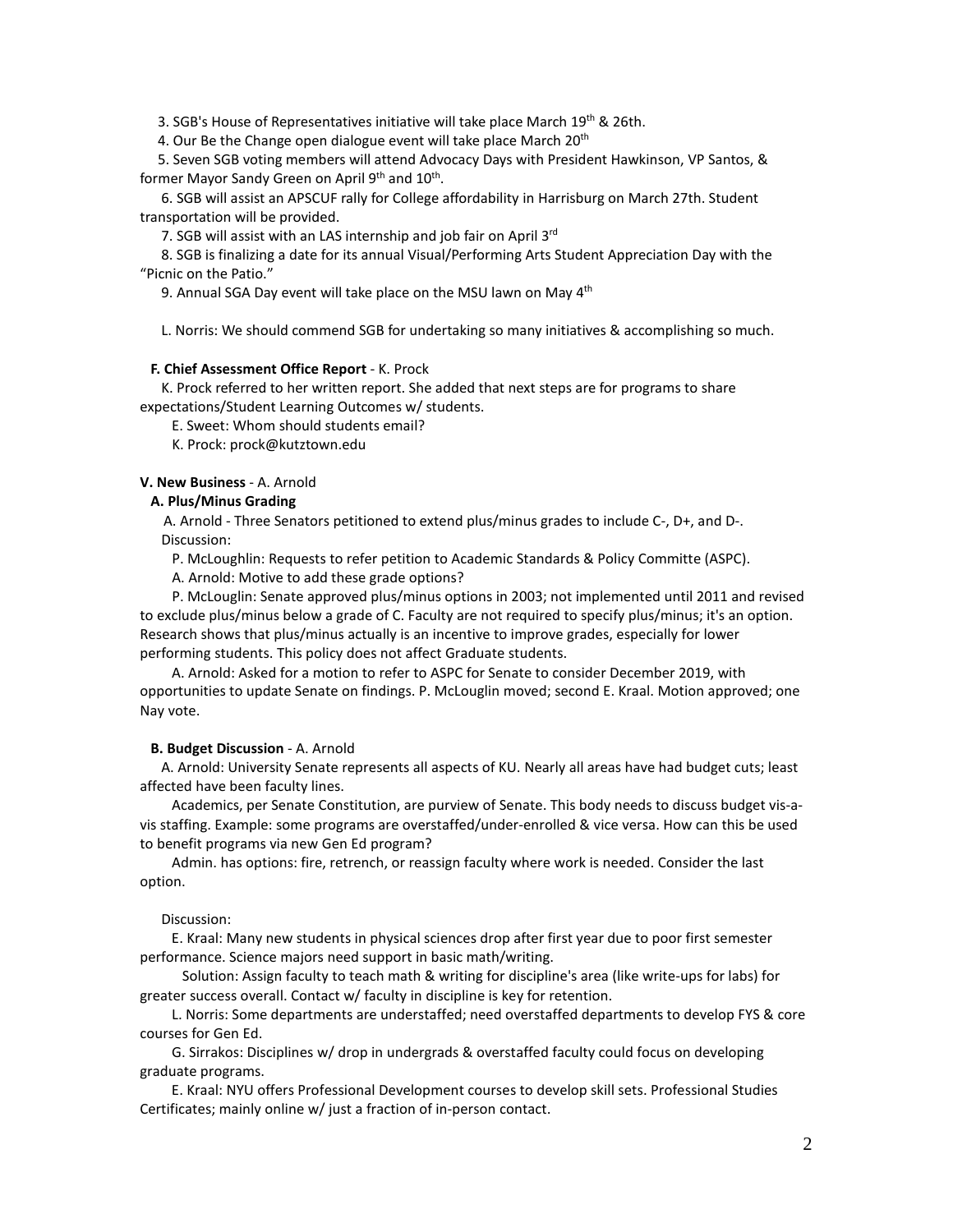3. SGB's House of Representatives initiative will take place March 19th & 26th.

4. Our Be the Change open dialogue event will take place March 20<sup>th</sup>

 5. Seven SGB voting members will attend Advocacy Days with President Hawkinson, VP Santos, & former Mayor Sandy Green on April 9<sup>th</sup> and 10<sup>th</sup>.

 6. SGB will assist an APSCUF rally for College affordability in Harrisburg on March 27th. Student transportation will be provided.

7. SGB will assist with an LAS internship and job fair on April 3rd

 8. SGB is finalizing a date for its annual Visual/Performing Arts Student Appreciation Day with the "Picnic on the Patio."

9. Annual SGA Day event will take place on the MSU lawn on May 4<sup>th</sup>

L. Norris: We should commend SGB for undertaking so many initiatives & accomplishing so much.

#### **F. Chief Assessment Office Report** - K. Prock

 K. Prock referred to her written report. She added that next steps are for programs to share expectations/Student Learning Outcomes w/ students.

E. Sweet: Whom should students email?

K. Prock: prock@kutztown.edu

### **V. New Business** - A. Arnold

#### **A. Plus/Minus Grading**

 A. Arnold - Three Senators petitioned to extend plus/minus grades to include C-, D+, and D-. Discussion:

P. McLoughlin: Requests to refer petition to Academic Standards & Policy Committe (ASPC).

A. Arnold: Motive to add these grade options?

 P. McLouglin: Senate approved plus/minus options in 2003; not implemented until 2011 and revised to exclude plus/minus below a grade of C. Faculty are not required to specify plus/minus; it's an option. Research shows that plus/minus actually is an incentive to improve grades, especially for lower performing students. This policy does not affect Graduate students.

 A. Arnold: Asked for a motion to refer to ASPC for Senate to consider December 2019, with opportunities to update Senate on findings. P. McLouglin moved; second E. Kraal. Motion approved; one Nay vote.

### **B. Budget Discussion** - A. Arnold

 A. Arnold: University Senate represents all aspects of KU. Nearly all areas have had budget cuts; least affected have been faculty lines.

 Academics, per Senate Constitution, are purview of Senate. This body needs to discuss budget vis-avis staffing. Example: some programs are overstaffed/under-enrolled & vice versa. How can this be used to benefit programs via new Gen Ed program?

 Admin. has options: fire, retrench, or reassign faculty where work is needed. Consider the last option.

Discussion:

 E. Kraal: Many new students in physical sciences drop after first year due to poor first semester performance. Science majors need support in basic math/writing.

 Solution: Assign faculty to teach math & writing for discipline's area (like write-ups for labs) for greater success overall. Contact w/ faculty in discipline is key for retention.

 L. Norris: Some departments are understaffed; need overstaffed departments to develop FYS & core courses for Gen Ed.

 G. Sirrakos: Disciplines w/ drop in undergrads & overstaffed faculty could focus on developing graduate programs.

 E. Kraal: NYU offers Professional Development courses to develop skill sets. Professional Studies Certificates; mainly online w/ just a fraction of in-person contact.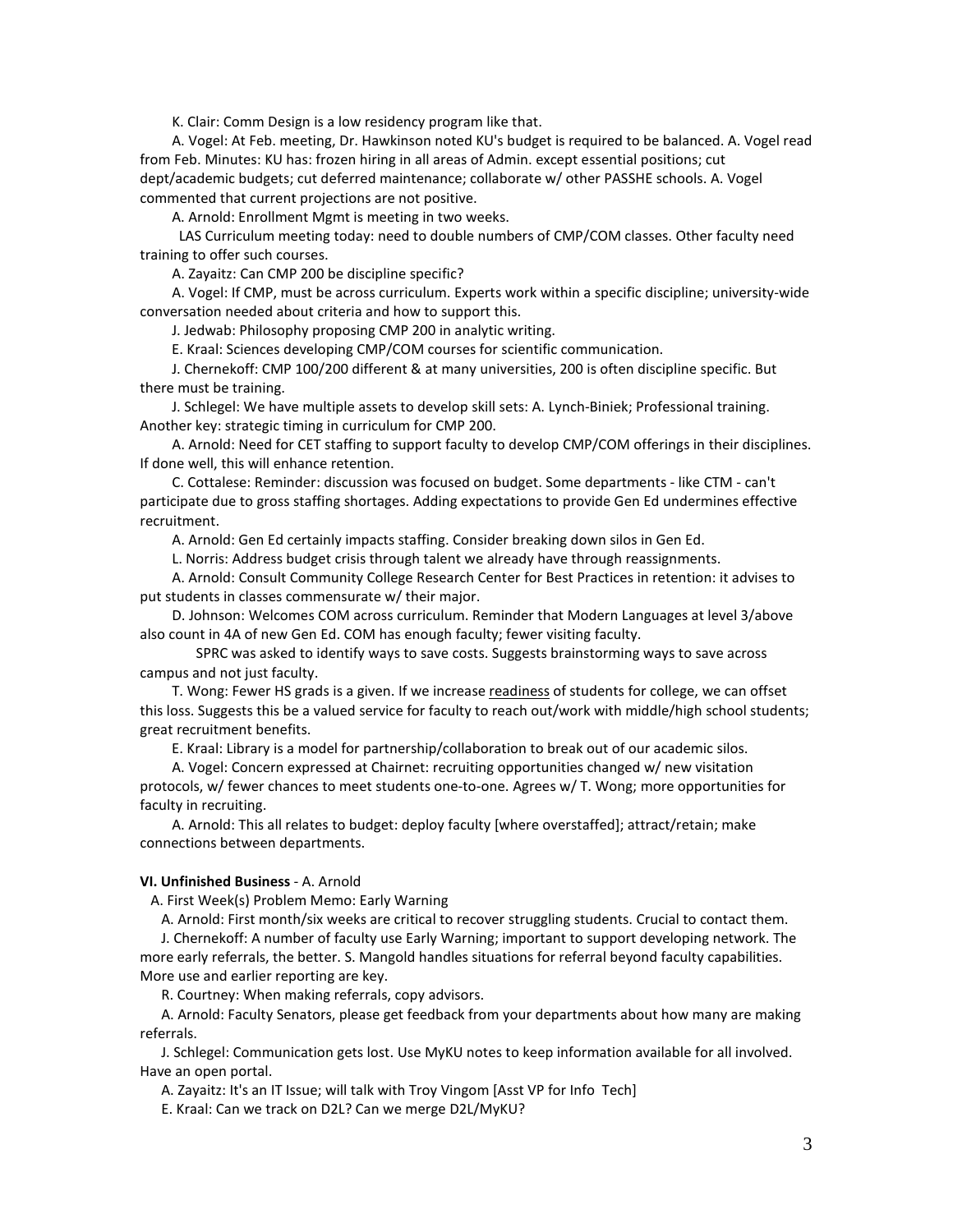K. Clair: Comm Design is a low residency program like that.

 A. Vogel: At Feb. meeting, Dr. Hawkinson noted KU's budget is required to be balanced. A. Vogel read from Feb. Minutes: KU has: frozen hiring in all areas of Admin. except essential positions; cut dept/academic budgets; cut deferred maintenance; collaborate w/ other PASSHE schools. A. Vogel commented that current projections are not positive.

A. Arnold: Enrollment Mgmt is meeting in two weeks.

 LAS Curriculum meeting today: need to double numbers of CMP/COM classes. Other faculty need training to offer such courses.

A. Zayaitz: Can CMP 200 be discipline specific?

 A. Vogel: If CMP, must be across curriculum. Experts work within a specific discipline; university-wide conversation needed about criteria and how to support this.

J. Jedwab: Philosophy proposing CMP 200 in analytic writing.

E. Kraal: Sciences developing CMP/COM courses for scientific communication.

 J. Chernekoff: CMP 100/200 different & at many universities, 200 is often discipline specific. But there must be training.

 J. Schlegel: We have multiple assets to develop skill sets: A. Lynch-Biniek; Professional training. Another key: strategic timing in curriculum for CMP 200.

 A. Arnold: Need for CET staffing to support faculty to develop CMP/COM offerings in their disciplines. If done well, this will enhance retention.

 C. Cottalese: Reminder: discussion was focused on budget. Some departments - like CTM - can't participate due to gross staffing shortages. Adding expectations to provide Gen Ed undermines effective recruitment.

A. Arnold: Gen Ed certainly impacts staffing. Consider breaking down silos in Gen Ed.

L. Norris: Address budget crisis through talent we already have through reassignments.

 A. Arnold: Consult Community College Research Center for Best Practices in retention: it advises to put students in classes commensurate w/ their major.

 D. Johnson: Welcomes COM across curriculum. Reminder that Modern Languages at level 3/above also count in 4A of new Gen Ed. COM has enough faculty; fewer visiting faculty.

SPRC was asked to identify ways to save costs. Suggests brainstorming ways to save across campus and not just faculty.

T. Wong: Fewer HS grads is a given. If we increase readiness of students for college, we can offset this loss. Suggests this be a valued service for faculty to reach out/work with middle/high school students; great recruitment benefits.

E. Kraal: Library is a model for partnership/collaboration to break out of our academic silos.

 A. Vogel: Concern expressed at Chairnet: recruiting opportunities changed w/ new visitation protocols, w/ fewer chances to meet students one-to-one. Agrees w/ T. Wong; more opportunities for faculty in recruiting.

 A. Arnold: This all relates to budget: deploy faculty [where overstaffed]; attract/retain; make connections between departments.

### **VI. Unfinished Business** - A. Arnold

A. First Week(s) Problem Memo: Early Warning

A. Arnold: First month/six weeks are critical to recover struggling students. Crucial to contact them.

 J. Chernekoff: A number of faculty use Early Warning; important to support developing network. The more early referrals, the better. S. Mangold handles situations for referral beyond faculty capabilities. More use and earlier reporting are key.

R. Courtney: When making referrals, copy advisors.

 A. Arnold: Faculty Senators, please get feedback from your departments about how many are making referrals.

 J. Schlegel: Communication gets lost. Use MyKU notes to keep information available for all involved. Have an open portal.

A. Zayaitz: It's an IT Issue; will talk with Troy Vingom [Asst VP for Info Tech]

E. Kraal: Can we track on D2L? Can we merge D2L/MyKU?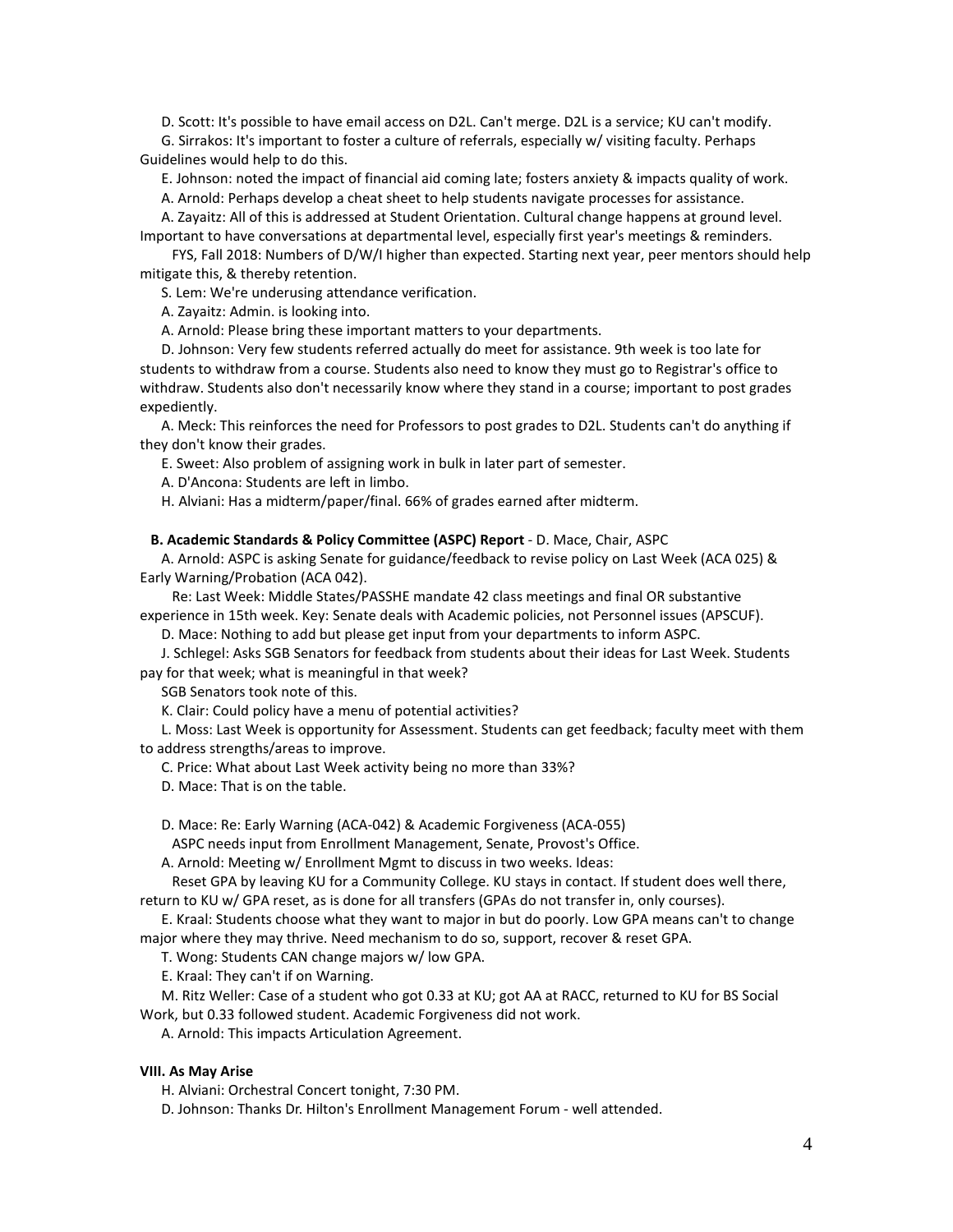D. Scott: It's possible to have email access on D2L. Can't merge. D2L is a service; KU can't modify.

 G. Sirrakos: It's important to foster a culture of referrals, especially w/ visiting faculty. Perhaps Guidelines would help to do this.

E. Johnson: noted the impact of financial aid coming late; fosters anxiety & impacts quality of work.

A. Arnold: Perhaps develop a cheat sheet to help students navigate processes for assistance.

 A. Zayaitz: All of this is addressed at Student Orientation. Cultural change happens at ground level. Important to have conversations at departmental level, especially first year's meetings & reminders.

 FYS, Fall 2018: Numbers of D/W/I higher than expected. Starting next year, peer mentors should help mitigate this, & thereby retention.

S. Lem: We're underusing attendance verification.

A. Zayaitz: Admin. is looking into.

A. Arnold: Please bring these important matters to your departments.

 D. Johnson: Very few students referred actually do meet for assistance. 9th week is too late for students to withdraw from a course. Students also need to know they must go to Registrar's office to withdraw. Students also don't necessarily know where they stand in a course; important to post grades expediently.

 A. Meck: This reinforces the need for Professors to post grades to D2L. Students can't do anything if they don't know their grades.

E. Sweet: Also problem of assigning work in bulk in later part of semester.

A. D'Ancona: Students are left in limbo.

H. Alviani: Has a midterm/paper/final. 66% of grades earned after midterm.

### **B. Academic Standards & Policy Committee (ASPC) Report** - D. Mace, Chair, ASPC

 A. Arnold: ASPC is asking Senate for guidance/feedback to revise policy on Last Week (ACA 025) & Early Warning/Probation (ACA 042).

 Re: Last Week: Middle States/PASSHE mandate 42 class meetings and final OR substantive experience in 15th week. Key: Senate deals with Academic policies, not Personnel issues (APSCUF).

D. Mace: Nothing to add but please get input from your departments to inform ASPC.

 J. Schlegel: Asks SGB Senators for feedback from students about their ideas for Last Week. Students pay for that week; what is meaningful in that week?

SGB Senators took note of this.

K. Clair: Could policy have a menu of potential activities?

 L. Moss: Last Week is opportunity for Assessment. Students can get feedback; faculty meet with them to address strengths/areas to improve.

C. Price: What about Last Week activity being no more than 33%?

D. Mace: That is on the table.

D. Mace: Re: Early Warning (ACA-042) & Academic Forgiveness (ACA-055)

ASPC needs input from Enrollment Management, Senate, Provost's Office.

A. Arnold: Meeting w/ Enrollment Mgmt to discuss in two weeks. Ideas:

 Reset GPA by leaving KU for a Community College. KU stays in contact. If student does well there, return to KU w/ GPA reset, as is done for all transfers (GPAs do not transfer in, only courses).

 E. Kraal: Students choose what they want to major in but do poorly. Low GPA means can't to change major where they may thrive. Need mechanism to do so, support, recover & reset GPA.

T. Wong: Students CAN change majors w/ low GPA.

E. Kraal: They can't if on Warning.

M. Ritz Weller: Case of a student who got 0.33 at KU; got AA at RACC, returned to KU for BS Social

Work, but 0.33 followed student. Academic Forgiveness did not work.

A. Arnold: This impacts Articulation Agreement.

## **VIII. As May Arise**

H. Alviani: Orchestral Concert tonight, 7:30 PM.

D. Johnson: Thanks Dr. Hilton's Enrollment Management Forum - well attended.